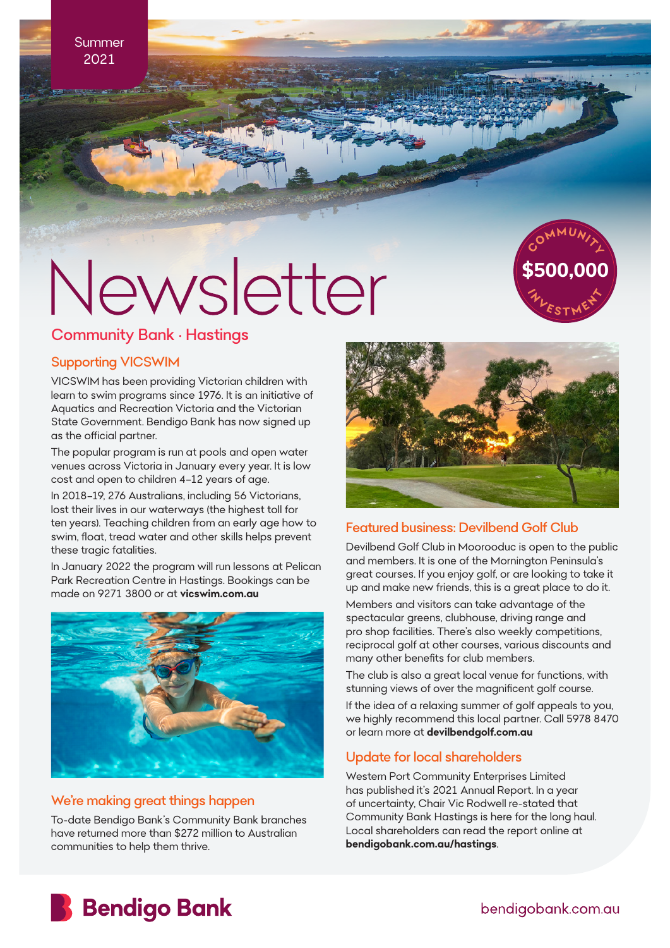**Summer** 2021

# Newsletter



### Community Bank • Hastings

#### Supporting VICSWIM

VICSWIM has been providing Victorian children with learn to swim programs since 1976. It is an initiative of Aquatics and Recreation Victoria and the Victorian State Government. Bendigo Bank has now signed up as the official partner.

The popular program is run at pools and open water venues across Victoria in January every year. It is low cost and open to children 4–12 years of age.

In 2018–19, 276 Australians, including 56 Victorians, lost their lives in our waterways (the highest toll for ten years). Teaching children from an early age how to swim, float, tread water and other skills helps prevent these tragic fatalities.

In January 2022 the program will run lessons at Pelican Park Recreation Centre in Hastings. Bookings can be made on 9271 3800 or at **vicswim.com.au**



### We're making great things happen

To-date Bendigo Bank's Community Bank branches have returned more than \$272 million to Australian communities to help them thrive.



### Featured business: Devilbend Golf Club

Devilbend Golf Club in Moorooduc is open to the public and members. It is one of the Mornington Peninsula's great courses. If you enjoy golf, or are looking to take it up and make new friends, this is a great place to do it. Members and visitors can take advantage of the spectacular greens, clubhouse, driving range and pro shop facilities. There's also weekly competitions, reciprocal golf at other courses, various discounts and many other benefits for club members.

The club is also a great local venue for functions, with stunning views of over the magnificent golf course.

If the idea of a relaxing summer of golf appeals to you, we highly recommend this local partner. Call 5978 8470 or learn more at **devilbendgolf.com.au**

### Update for local shareholders

Western Port Community Enterprises Limited has published it's 2021 Annual Report. In a year of uncertainty, Chair Vic Rodwell re-stated that Community Bank Hastings is here for the long haul. Local shareholders can read the report online at **bendigobank.com.au/hastings**.